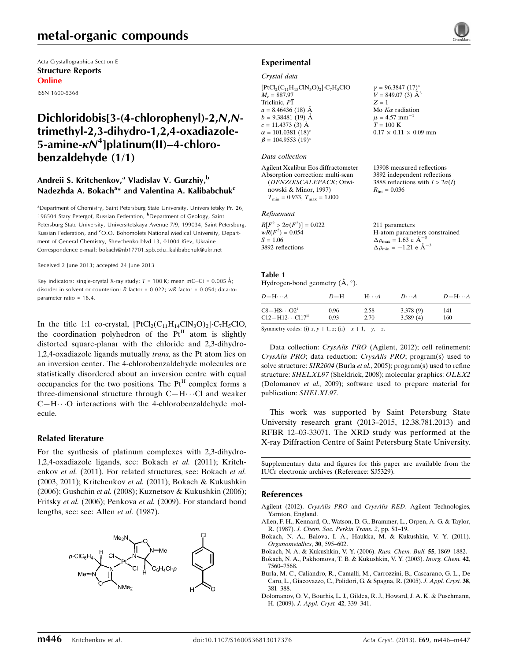# metal-organic compounds

Acta Crystallographica Section E Structure Reports Online

ISSN 1600-5368

# Dichloridobis[3-(4-chlorophenyl)-2,N,Ntrimethyl-2,3-dihydro-1,2,4-oxadiazole-5-amine- $\kappa\mathcal{N}^4$ ]platinum(II)–4-chlorobenzaldehyde (1/1)

# Andreii S. Kritchenkov,<sup>a</sup> Vladislav V. Gurzhiy,<sup>b</sup> Nadezhda A. Bokach<sup>a</sup>\* and Valentina A. Kalibabchuk<sup>c</sup>

<sup>a</sup>Department of Chemistry, Saint Petersburg State University, Universitetsky Pr. 26, 198504 Stary Petergof, Russian Federation, <sup>b</sup>Department of Geology, Saint Petersburg State University, Universitetskaya Avenue 7/9, 199034, Saint Petersburg, Russian Federation, and CO.O. Bohomolets National Medical University, Department of General Chemistry, Shevchenko blvd 13, 01004 Kiev, Ukraine Correspondence e-mail: [bokach@nb17701.spb.edu\\_kalibabchuk@ukr.net](https://scripts.iucr.org/cgi-bin/cr.cgi?rm=pdfbb&cnor=sj5329&bbid=BB14)

Received 2 June 2013; accepted 24 June 2013

Key indicators: single-crystal X-ray study;  $T = 100$  K; mean  $\sigma$ (C–C) = 0.005 Å; disorder in solvent or counterion; R factor = 0.022; wR factor = 0.054; data-toparameter ratio = 18.4.

In the title 1:1 co-crystal,  $[PtCl_2(C_{11}H_{14}ClN_3O)_2] \cdot C_7H_5ClO$ , the coordination polyhedron of the  $Pt^{II}$  atom is slightly distorted square-planar with the chloride and 2,3-dihydro-1,2,4-oxadiazole ligands mutually trans, as the Pt atom lies on an inversion center. The 4-chlorobenzaldehyde molecules are statistically disordered about an inversion centre with equal occupancies for the two positions. The  $Pt<sup>H</sup>$  complex forms a three-dimensional structure through  $C-H\cdots C1$  and weaker  $C-H\cdots$ O interactions with the 4-chlorobenzaldehyde molecule.

### Related literature

For the synthesis of platinum complexes with 2,3-dihydro-1,2,4-oxadiazole ligands, see: Bokach et al. (2011); Kritchenkov et al. (2011). For related structures, see: Bokach et al. (2003, 2011); Kritchenkov et al. (2011); Bokach & Kukushkin (2006); Gushchin et al. (2008); Kuznetsov & Kukushkin (2006); Fritsky et al. (2006); Penkova et al. (2009). For standard bond lengths, see: see: Allen et al. (1987).



## Experimental

#### Crystal data

 $[PtCl<sub>2</sub>(C<sub>11</sub>H<sub>15</sub>ClN<sub>3</sub>O)<sub>2</sub>]\n- C<sub>7</sub>H<sub>5</sub>ClO$  $M_r = 887.97$ Triclinic,  $P\overline{1}$  $a = 8.46436(18)$  Å  $b = 9.38481(19)$  Å  $c = 11.4373(3)$  Å  $\alpha = 101.0381~(18)$ °  $\beta = 104.9553$  (19)<sup>o</sup>

#### Data collection

Agilent Xcalibur Eos diffractometer Absorption correction: multi-scan (DENZO/SCALEPACK; Otwinowski & Minor, 1997)  $T_{\text{min}} = 0.933, T_{\text{max}} = 1.000$ 

### Refinement

| 211 parameters                                             |
|------------------------------------------------------------|
| H-atom parameters constrained                              |
| $\Delta \rho_{\text{max}} = 1.63 \text{ e A}^{-3}$         |
| $\Delta \rho_{\rm min} = -1.21 \text{ e } \text{\AA}^{-3}$ |
|                                                            |

 $\nu = 96.3847 (17)^{o}$  $V = 849.07(3)$   $\rm \AA^3$ 

Mo  $K\alpha$  radiation  $\mu$  = 4.57 mm<sup>-1</sup>  $T=100~\mathrm{K}$ 

 $R_{\text{int}} = 0.036$ 

 $0.17 \times 0.11 \times 0.09$  mm

13908 measured reflections 3892 independent reflections 3888 reflections with  $I > 2\sigma(I)$ 

 $Z = 1$ 

#### Table 1

Hydrogen-bond geometry  $(A, \circ)$ .

| $D - H \cdots A$                   | $D-H$ | $H\cdots A$ | $D\cdots A$ | $D - H \cdots A$ |
|------------------------------------|-------|-------------|-------------|------------------|
| $C8 - H8 \cdots O2^i$              | 0.96  | 2.58        | 3.378(9)    | 141              |
| $C12-H12\cdots C117$ <sup>ii</sup> | 0.93  | 2.70        | 3.589(4)    | 160              |

Symmetry codes: (i)  $x, y + 1, z$ ; (ii)  $-x + 1, -y, -z$ .

Data collection: CrysAlis PRO (Agilent, 2012); cell refinement: CrysAlis PRO; data reduction: CrysAlis PRO; program(s) used to solve structure: SIR2004 (Burla et al., 2005); program(s) used to refine structure: SHELXL97 (Sheldrick, 2008); molecular graphics: OLEX2 (Dolomanov et al., 2009); software used to prepare material for publication: SHELXL97.

This work was supported by Saint Petersburg State University research grant (2013–2015, 12.38.781.2013) and RFBR 12–03-33071. The XRD study was performed at the X-ray Diffraction Centre of Saint Petersburg State University.

Supplementary data and figures for this paper are available from the IUCr electronic archives (Reference: SJ5329).

### References

- Agilent (2012). CrysAlis PRO and CrysAlis RED[. Agilent Technologies,](https://scripts.iucr.org/cgi-bin/cr.cgi?rm=pdfbb&cnor=sj5329&bbid=BB1) [Yarnton, England.](https://scripts.iucr.org/cgi-bin/cr.cgi?rm=pdfbb&cnor=sj5329&bbid=BB1)
- [Allen, F. H., Kennard, O., Watson, D. G., Brammer, L., Orpen, A. G. & Taylor,](https://scripts.iucr.org/cgi-bin/cr.cgi?rm=pdfbb&cnor=sj5329&bbid=BB2) R. (1987). [J. Chem. Soc. Perkin Trans. 2](https://scripts.iucr.org/cgi-bin/cr.cgi?rm=pdfbb&cnor=sj5329&bbid=BB2), pp. S1–19.
- [Bokach, N. A., Balova, I. A., Haukka, M. & Kukushkin, V. Y. \(2011\).](https://scripts.iucr.org/cgi-bin/cr.cgi?rm=pdfbb&cnor=sj5329&bbid=BB3) [Organometallics](https://scripts.iucr.org/cgi-bin/cr.cgi?rm=pdfbb&cnor=sj5329&bbid=BB3), 30, 595–602.
- [Bokach, N. A. & Kukushkin, V. Y. \(2006\).](https://scripts.iucr.org/cgi-bin/cr.cgi?rm=pdfbb&cnor=sj5329&bbid=BB4) Russ. Chem. Bull. 55, 1869–1882.
- [Bokach, N. A., Pakhomova, T. B. & Kukushkin, V. Y. \(2003\).](https://scripts.iucr.org/cgi-bin/cr.cgi?rm=pdfbb&cnor=sj5329&bbid=BB5) Inorg. Chem. 42, [7560–7568.](https://scripts.iucr.org/cgi-bin/cr.cgi?rm=pdfbb&cnor=sj5329&bbid=BB5)
- [Burla, M. C., Caliandro, R., Camalli, M., Carrozzini, B., Cascarano, G. L., De](https://scripts.iucr.org/cgi-bin/cr.cgi?rm=pdfbb&cnor=sj5329&bbid=BB6) [Caro, L., Giacovazzo, C., Polidori, G. & Spagna, R. \(2005\).](https://scripts.iucr.org/cgi-bin/cr.cgi?rm=pdfbb&cnor=sj5329&bbid=BB6) J. Appl. Cryst. 38, [381–388.](https://scripts.iucr.org/cgi-bin/cr.cgi?rm=pdfbb&cnor=sj5329&bbid=BB6)
- [Dolomanov, O. V., Bourhis, L. J., Gildea, R. J., Howard, J. A. K. & Puschmann,](https://scripts.iucr.org/cgi-bin/cr.cgi?rm=pdfbb&cnor=sj5329&bbid=BB7) H. (2009). [J. Appl. Cryst.](https://scripts.iucr.org/cgi-bin/cr.cgi?rm=pdfbb&cnor=sj5329&bbid=BB7) 42, 339–341.

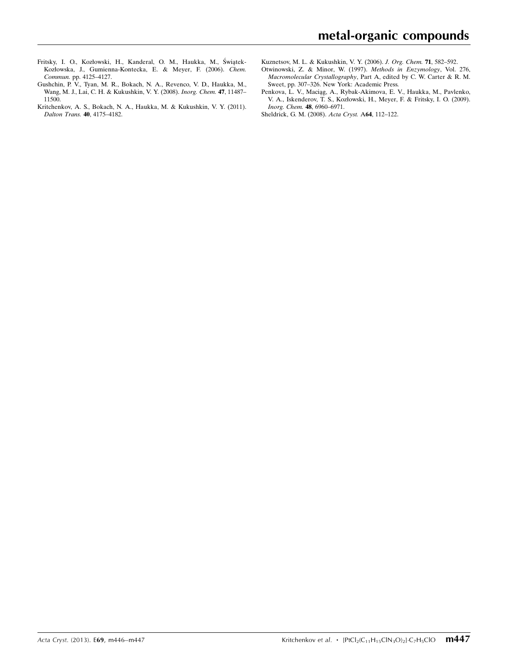- Fritsky, I. O., Kozłowski, H., Kanderal, O. M., Haukka, M., Świątek-[Kozłowska, J., Gumienna-Kontecka, E. & Meyer, F. \(2006\).](https://scripts.iucr.org/cgi-bin/cr.cgi?rm=pdfbb&cnor=sj5329&bbid=BB9) Chem. Commun. [pp. 4125–4127.](https://scripts.iucr.org/cgi-bin/cr.cgi?rm=pdfbb&cnor=sj5329&bbid=BB9)
- [Gushchin, P. V., Tyan, M. R., Bokach, N. A., Revenco, V. D., Haukka, M.,](https://scripts.iucr.org/cgi-bin/cr.cgi?rm=pdfbb&cnor=sj5329&bbid=BB9) [Wang, M. J., Lai, C. H. & Kukushkin, V. Y. \(2008\).](https://scripts.iucr.org/cgi-bin/cr.cgi?rm=pdfbb&cnor=sj5329&bbid=BB9) Inorg. Chem. 47, 11487– [11500.](https://scripts.iucr.org/cgi-bin/cr.cgi?rm=pdfbb&cnor=sj5329&bbid=BB9)
- [Kritchenkov, A. S., Bokach, N. A., Haukka, M. & Kukushkin, V. Y. \(2011\).](https://scripts.iucr.org/cgi-bin/cr.cgi?rm=pdfbb&cnor=sj5329&bbid=BB10) [Dalton Trans.](https://scripts.iucr.org/cgi-bin/cr.cgi?rm=pdfbb&cnor=sj5329&bbid=BB10) 40, 4175–4182.
- [Kuznetsov, M. L. & Kukushkin, V. Y. \(2006\).](https://scripts.iucr.org/cgi-bin/cr.cgi?rm=pdfbb&cnor=sj5329&bbid=BB11) *J. Org. Chem.* **71**, 582–592.
- [Otwinowski, Z. & Minor, W. \(1997\).](https://scripts.iucr.org/cgi-bin/cr.cgi?rm=pdfbb&cnor=sj5329&bbid=BB12) Methods in Enzymology, Vol. 276, Macromolecular Crystallography[, Part A, edited by C. W. Carter & R. M.](https://scripts.iucr.org/cgi-bin/cr.cgi?rm=pdfbb&cnor=sj5329&bbid=BB12) [Sweet, pp. 307–326. New York: Academic Press.](https://scripts.iucr.org/cgi-bin/cr.cgi?rm=pdfbb&cnor=sj5329&bbid=BB12)
- Penkova, L. V., Maciąg, A., Rybak-Akimova, E. V., Haukka, M., Pavlenko, [V. A., Iskenderov, T. S., Kozłowski, H., Meyer, F. & Fritsky, I. O. \(2009\).](https://scripts.iucr.org/cgi-bin/cr.cgi?rm=pdfbb&cnor=sj5329&bbid=BB13) [Inorg. Chem.](https://scripts.iucr.org/cgi-bin/cr.cgi?rm=pdfbb&cnor=sj5329&bbid=BB13) 48, 6960–6971.
- [Sheldrick, G. M. \(2008\).](https://scripts.iucr.org/cgi-bin/cr.cgi?rm=pdfbb&cnor=sj5329&bbid=BB14) Acta Cryst. A64, 112–122.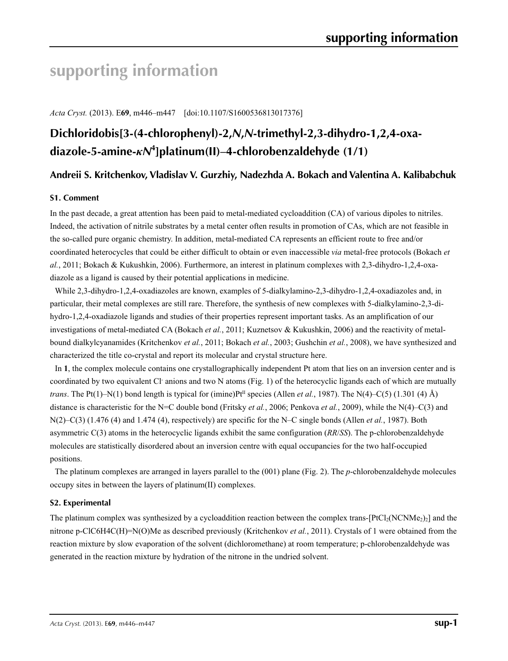# **supporting information**

*Acta Cryst.* (2013). E**69**, m446–m447 [doi:10.1107/S1600536813017376]

# **Dichloridobis[3-(4-chlorophenyl)-2,***N***,***N***-trimethyl-2,3-dihydro-1,2,4-oxadiazole-5-amine-***κN***<sup>4</sup> ]platinum(II)–4-chlorobenzaldehyde (1/1)**

# **Andreii S. Kritchenkov, Vladislav V. Gurzhiy, Nadezhda A. Bokach and Valentina A. Kalibabchuk**

## **S1. Comment**

In the past decade, a great attention has been paid to metal-mediated cycloaddition (CA) of various dipoles to nitriles. Indeed, the activation of nitrile substrates by a metal center often results in promotion of CAs, which are not feasible in the so-called pure organic chemistry. In addition, metal-mediated CA represents an efficient route to free and/or coordinated heterocycles that could be either difficult to obtain or even inaccessible *via* metal-free protocols (Bokach *et al.*, 2011; Bokach & Kukushkin, 2006). Furthermore, an interest in platinum complexes with 2,3-dihydro-1,2,4-oxadiazole as a ligand is caused by their potential applications in medicine.

While 2,3-dihydro-1,2,4-oxadiazoles are known, examples of 5-dialkylamino-2,3-dihydro-1,2,4-oxadiazoles and, in particular, their metal complexes are still rare. Therefore, the synthesis of new complexes with 5-dialkylamino-2,3-dihydro-1,2,4-oxadiazole ligands and studies of their properties represent important tasks. As an amplification of our investigations of metal-mediated CA (Bokach *et al.*, 2011; Kuznetsov & Kukushkin, 2006) and the reactivity of metalbound dialkylcyanamides (Kritchenkov *et al.*, 2011; Bokach *et al.*, 2003; Gushchin *et al.*, 2008), we have synthesized and characterized the title co-crystal and report its molecular and crystal structure here.

In **1**, the complex molecule contains one crystallographically independent Pt atom that lies on an inversion center and is coordinated by two equivalent Cl anions and two N atoms (Fig. 1) of the heterocyclic ligands each of which are mutually *trans*. The Pt(1)–N(1) bond length is typical for (imine)Pt<sup>II</sup> species (Allen *et al.*, 1987). The N(4)–C(5) (1.301 (4) Å) distance is characteristic for the N=C double bond (Fritsky *et al.*, 2006; Penkova *et al.*, 2009), while the N(4)–C(3) and N(2)–C(3) (1.476 (4) and 1.474 (4), respectively) are specific for the N–C single bonds (Allen *et al.*, 1987). Both asymmetric C(3) atoms in the heterocyclic ligands exhibit the same configuration (*RR*/*SS*). The p-chlorobenzaldehyde molecules are statistically disordered about an inversion centre with equal occupancies for the two half-occupied positions.

The platinum complexes are arranged in layers parallel to the (001) plane (Fig. 2). The *p*-chlorobenzaldehyde molecules occupy sites in between the layers of platinum(II) complexes.

## **S2. Experimental**

The platinum complex was synthesized by a cycloaddition reaction between the complex trans- $[PtCl<sub>2</sub>(NCNMe<sub>2</sub>)<sub>2</sub>]$  and the nitrone p-ClC6H4C(H)=N(O)Me as described previously (Kritchenkov *et al.*, 2011). Crystals of 1 were obtained from the reaction mixture by slow evaporation of the solvent (dichloromethane) at room temperature; p-chlorobenzaldehyde was generated in the reaction mixture by hydration of the nitrone in the undried solvent.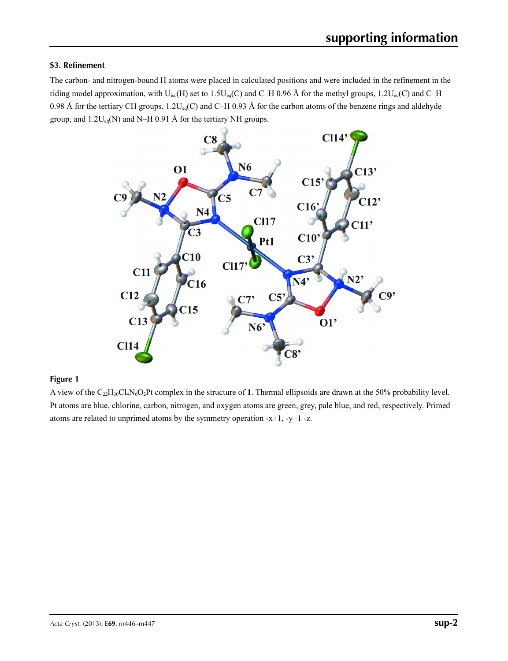# **S3. Refinement**

The carbon- and nitrogen-bound H atoms were placed in calculated positions and were included in the refinement in the riding model approximation, with  $U_{iso}(H)$  set to 1.5U<sub>eq</sub>(C) and C–H 0.96 Å for the methyl groups, 1.2U<sub>eq</sub>(C) and C–H 0.98 Å for the tertiary CH groups,  $1.2U_{eq}(C)$  and C–H 0.93 Å for the carbon atoms of the benzene rings and aldehyde group, and  $1.2U_{eq}(N)$  and N–H 0.91 Å for the tertiary NH groups.



# **Figure 1**

A view of the C22H30Cl4N6O2Pt complex in the structure of **1**. Thermal ellipsoids are drawn at the 50% probability level. Pt atoms are blue, chlorine, carbon, nitrogen, and oxygen atoms are green, grey, pale blue, and red, respectively. Primed atoms are related to unprimed atoms by the symmetry operation -x+1, -y+1 -z.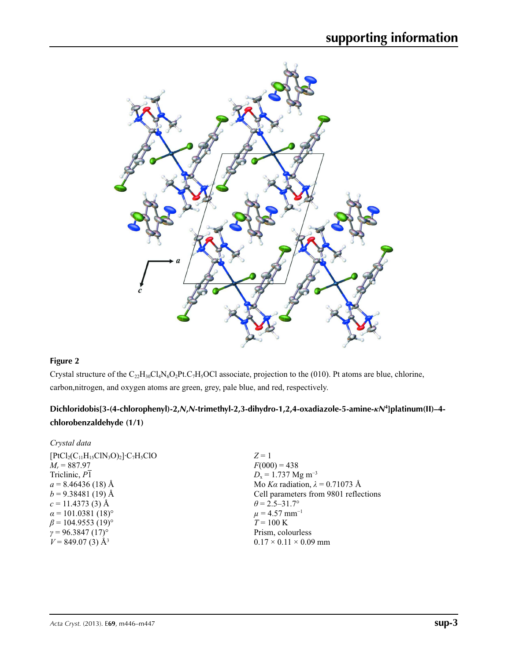

# **Figure 2**

Crystal structure of the  $C_{22}H_{30}Cl_4N_6O_2Pt.C_7H_5OCl$  associate, projection to the (010). Pt atoms are blue, chlorine, carbon,nitrogen, and oxygen atoms are green, grey, pale blue, and red, respectively.

# **Dichloridobis[3-(4-chlorophenyl)-2,***N***,***N***-trimethyl-2,3-dihydro-1,2,4-oxadiazole-5-amine-***κN***<sup>4</sup> ]platinum(II)–4 chlorobenzaldehyde (1/1)**

| Crystal data                          |                                        |
|---------------------------------------|----------------------------------------|
| $[PtCl2(C11H15ClN3O)2]\cdot C7H5ClO$  | $Z=1$                                  |
| $M_r = 887.97$                        | $F(000) = 438$                         |
| Triclinic, P1                         | $D_x = 1.737$ Mg m <sup>-3</sup>       |
| $a = 8.46436(18)$ Å                   | Mo Ka radiation, $\lambda = 0.71073$ Å |
| $b = 9.38481(19)$ Å                   | Cell parameters from 9801 reflections  |
| $c = 11.4373(3)$ Å                    | $\theta$ = 2.5–31.7°                   |
| $\alpha$ = 101.0381 (18) <sup>o</sup> | $\mu = 4.57$ mm <sup>-1</sup>          |
| $\beta$ = 104.9553 (19) <sup>o</sup>  | $T = 100 \text{ K}$                    |
| $\gamma = 96.3847 (17)$ °             | Prism, colourless                      |
| $V = 849.07(3)$ Å <sup>3</sup>        | $0.17 \times 0.11 \times 0.09$ mm      |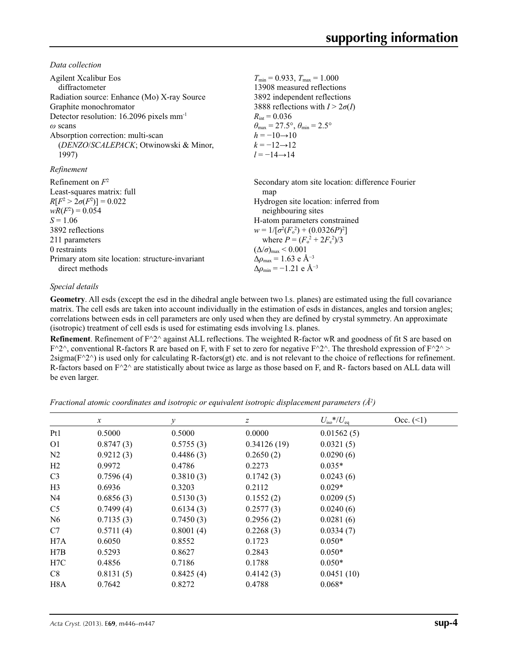*Data collection*

| <b>Agilent Xcalibur Eos</b>                            | $T_{\min} = 0.933$ , $T_{\max} = 1.000$                                 |
|--------------------------------------------------------|-------------------------------------------------------------------------|
| diffractometer                                         | 13908 measured reflections                                              |
| Radiation source: Enhance (Mo) X-ray Source            | 3892 independent reflections                                            |
| Graphite monochromator                                 | 3888 reflections with $I > 2\sigma(I)$                                  |
| Detector resolution: $16.2096$ pixels mm <sup>-1</sup> | $R_{\text{int}} = 0.036$                                                |
| $\omega$ scans                                         | $\theta_{\text{max}} = 27.5^{\circ}, \theta_{\text{min}} = 2.5^{\circ}$ |
| Absorption correction: multi-scan                      | $h = -10 \rightarrow 10$                                                |
| (DENZO/SCALEPACK; Otwinowski & Minor,                  | $k = -12 \rightarrow 12$                                                |
| 1997)                                                  | $l = -14 \rightarrow 14$                                                |
| Refinement                                             |                                                                         |
| Refinement on $F^2$                                    | Secondary atom site location: difference Fourier                        |
| Least-squares matrix: full                             | map                                                                     |
| $R[F^2 > 2\sigma(F^2)] = 0.022$                        | Hydrogen site location: inferred from                                   |
| $wR(F^2) = 0.054$                                      | neighbouring sites                                                      |
| $S = 1.06$                                             | H-atom parameters constrained                                           |
| 3892 reflections                                       | $w = 1/[\sigma^2(F_0^2) + (0.0326P)^2]$                                 |
| 211 parameters                                         | where $P = (F_0^2 + 2F_c^2)/3$                                          |
| 0 restraints                                           | $(\Delta/\sigma)_{\text{max}}$ < 0.001                                  |
| Primary atom site location: structure-invariant        | $\Delta\rho_{\rm max} = 1.63$ e Å <sup>-3</sup>                         |
| direct methods                                         | $\Delta \rho_{\rm min} = -1.21$ e Å <sup>-3</sup>                       |

## *Special details*

**Geometry**. All esds (except the esd in the dihedral angle between two l.s. planes) are estimated using the full covariance matrix. The cell esds are taken into account individually in the estimation of esds in distances, angles and torsion angles; correlations between esds in cell parameters are only used when they are defined by crystal symmetry. An approximate (isotropic) treatment of cell esds is used for estimating esds involving l.s. planes.

**Refinement**. Refinement of F^2^ against ALL reflections. The weighted R-factor wR and goodness of fit S are based on  $F^2$ <sup> $\wedge$ </sup>, conventional R-factors R are based on F, with F set to zero for negative F $^2$ <sup> $\wedge$ </sup>. The threshold expression of F $^2$  $\wedge$  >  $2$ sigma( $F^2$ <sup> $\land$ </sup>) is used only for calculating R-factors(gt) etc. and is not relevant to the choice of reflections for refinement. R-factors based on  $F^2$  are statistically about twice as large as those based on F, and R- factors based on ALL data will be even larger.

*Fractional atomic coordinates and isotropic or equivalent isotropic displacement parameters (Å2 )*

|                  | $\boldsymbol{x}$ | $\mathcal{Y}$ | z           | $U_{\rm iso}$ */ $U_{\rm eq}$ | Occ. (2) |
|------------------|------------------|---------------|-------------|-------------------------------|----------|
| Pt1              | 0.5000           | 0.5000        | 0.0000      | 0.01562(5)                    |          |
| O <sub>1</sub>   | 0.8747(3)        | 0.5755(3)     | 0.34126(19) | 0.0321(5)                     |          |
| N <sub>2</sub>   | 0.9212(3)        | 0.4486(3)     | 0.2650(2)   | 0.0290(6)                     |          |
| H2               | 0.9972           | 0.4786        | 0.2273      | $0.035*$                      |          |
| C <sub>3</sub>   | 0.7596(4)        | 0.3810(3)     | 0.1742(3)   | 0.0243(6)                     |          |
| H <sub>3</sub>   | 0.6936           | 0.3203        | 0.2112      | $0.029*$                      |          |
| N <sub>4</sub>   | 0.6856(3)        | 0.5130(3)     | 0.1552(2)   | 0.0209(5)                     |          |
| C <sub>5</sub>   | 0.7499(4)        | 0.6134(3)     | 0.2577(3)   | 0.0240(6)                     |          |
| N <sub>6</sub>   | 0.7135(3)        | 0.7450(3)     | 0.2956(2)   | 0.0281(6)                     |          |
| C7               | 0.5711(4)        | 0.8001(4)     | 0.2268(3)   | 0.0334(7)                     |          |
| H7A              | 0.6050           | 0.8552        | 0.1723      | $0.050*$                      |          |
| H7B              | 0.5293           | 0.8627        | 0.2843      | $0.050*$                      |          |
| H <sub>7</sub> C | 0.4856           | 0.7186        | 0.1788      | $0.050*$                      |          |
| C8               | 0.8131(5)        | 0.8425(4)     | 0.4142(3)   | 0.0451(10)                    |          |
| H8A              | 0.7642           | 0.8272        | 0.4788      | $0.068*$                      |          |
|                  |                  |               |             |                               |          |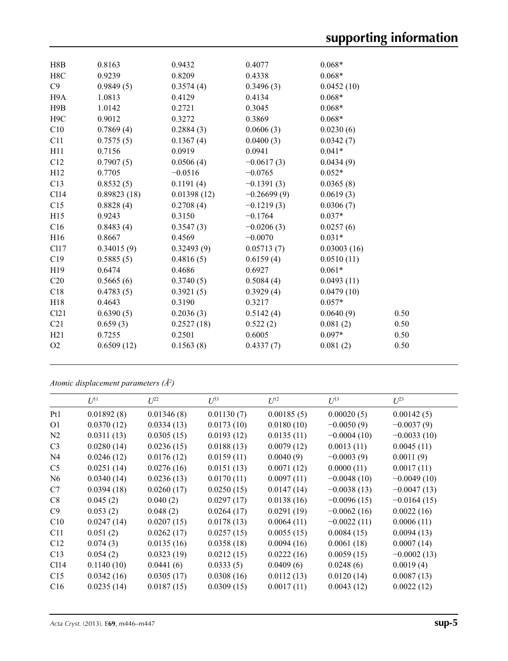| H8B              | 0.8163      | 0.9432      | 0.4077        | $0.068*$    |      |
|------------------|-------------|-------------|---------------|-------------|------|
| H8C              | 0.9239      | 0.8209      | 0.4338        | $0.068*$    |      |
| C9               | 0.9849(5)   | 0.3574(4)   | 0.3496(3)     | 0.0452(10)  |      |
| H9A              | 1.0813      | 0.4129      | 0.4134        | $0.068*$    |      |
| H9B              | 1.0142      | 0.2721      | 0.3045        | $0.068*$    |      |
| H <sub>9</sub> C | 0.9012      | 0.3272      | 0.3869        | $0.068*$    |      |
| C10              | 0.7869(4)   | 0.2884(3)   | 0.0606(3)     | 0.0230(6)   |      |
| C11              | 0.7575(5)   | 0.1367(4)   | 0.0400(3)     | 0.0342(7)   |      |
| H11              | 0.7156      | 0.0919      | 0.0941        | $0.041*$    |      |
| C12              | 0.7907(5)   | 0.0506(4)   | $-0.0617(3)$  | 0.0434(9)   |      |
| H12              | 0.7705      | $-0.0516$   | $-0.0765$     | $0.052*$    |      |
| C13              | 0.8532(5)   | 0.1191(4)   | $-0.1391(3)$  | 0.0365(8)   |      |
| C <sub>114</sub> | 0.89823(18) | 0.01398(12) | $-0.26699(9)$ | 0.0619(3)   |      |
| C15              | 0.8828(4)   | 0.2708(4)   | $-0.1219(3)$  | 0.0306(7)   |      |
| H15              | 0.9243      | 0.3150      | $-0.1764$     | $0.037*$    |      |
| C16              | 0.8483(4)   | 0.3547(3)   | $-0.0206(3)$  | 0.0257(6)   |      |
| H <sub>16</sub>  | 0.8667      | 0.4569      | $-0.0070$     | $0.031*$    |      |
| C117             | 0.34015(9)  | 0.32493(9)  | 0.05713(7)    | 0.03003(16) |      |
| C19              | 0.5885(5)   | 0.4816(5)   | 0.6159(4)     | 0.0510(11)  |      |
| H <sub>19</sub>  | 0.6474      | 0.4686      | 0.6927        | $0.061*$    |      |
| C <sub>20</sub>  | 0.5665(6)   | 0.3740(5)   | 0.5084(4)     | 0.0493(11)  |      |
| C18              | 0.4783(5)   | 0.3921(5)   | 0.3929(4)     | 0.0479(10)  |      |
| H <sub>18</sub>  | 0.4643      | 0.3190      | 0.3217        | $0.057*$    |      |
| Cl21             | 0.6390(5)   | 0.2036(3)   | 0.5142(4)     | 0.0640(9)   | 0.50 |
| C <sub>21</sub>  | 0.659(3)    | 0.2527(18)  | 0.522(2)      | 0.081(2)    | 0.50 |
| H21              | 0.7255      | 0.2501      | 0.6005        | $0.097*$    | 0.50 |
| O <sub>2</sub>   | 0.6509(12)  | 0.1563(8)   | 0.4337(7)     | 0.081(2)    | 0.50 |
|                  |             |             |               |             |      |

*Atomic displacement parameters (Å2 )*

|                | $U^{11}$   | $L^{22}$   | $U^{33}$   | $U^{12}$   | $U^{13}$      | $U^{23}$      |
|----------------|------------|------------|------------|------------|---------------|---------------|
| Pt1            | 0.01892(8) | 0.01346(8) | 0.01130(7) | 0.00185(5) | 0.00020(5)    | 0.00142(5)    |
| <b>O1</b>      | 0.0370(12) | 0.0334(13) | 0.0173(10) | 0.0180(10) | $-0.0050(9)$  | $-0.0037(9)$  |
| N2             | 0.0311(13) | 0.0305(15) | 0.0193(12) | 0.0135(11) | $-0.0004(10)$ | $-0.0033(10)$ |
| C <sub>3</sub> | 0.0280(14) | 0.0236(15) | 0.0188(13) | 0.0079(12) | 0.0013(11)    | 0.0045(11)    |
| N <sub>4</sub> | 0.0246(12) | 0.0176(12) | 0.0159(11) | 0.0040(9)  | $-0.0003(9)$  | 0.0011(9)     |
| C <sub>5</sub> | 0.0251(14) | 0.0276(16) | 0.0151(13) | 0.0071(12) | 0.0000(11)    | 0.0017(11)    |
| N <sub>6</sub> | 0.0340(14) | 0.0236(13) | 0.0170(11) | 0.0097(11) | $-0.0048(10)$ | $-0.0049(10)$ |
| C7             | 0.0394(18) | 0.0260(17) | 0.0250(15) | 0.0147(14) | $-0.0038(13)$ | $-0.0047(13)$ |
| C8             | 0.045(2)   | 0.040(2)   | 0.0297(17) | 0.0138(16) | $-0.0096(15)$ | $-0.0164(15)$ |
| C9             | 0.053(2)   | 0.048(2)   | 0.0264(17) | 0.0291(19) | $-0.0062(16)$ | 0.0022(16)    |
| C10            | 0.0247(14) | 0.0207(15) | 0.0178(13) | 0.0064(11) | $-0.0022(11)$ | 0.0006(11)    |
| C11            | 0.051(2)   | 0.0262(17) | 0.0257(15) | 0.0055(15) | 0.0084(15)    | 0.0094(13)    |
| C12            | 0.074(3)   | 0.0135(16) | 0.0358(18) | 0.0094(16) | 0.0061(18)    | 0.0007(14)    |
| C13            | 0.054(2)   | 0.0323(19) | 0.0212(15) | 0.0222(16) | 0.0059(15)    | $-0.0002(13)$ |
| C114           | 0.1140(10) | 0.0441(6)  | 0.0333(5)  | 0.0409(6)  | 0.0248(6)     | 0.0019(4)     |
| C15            | 0.0342(16) | 0.0305(17) | 0.0308(16) | 0.0112(13) | 0.0120(14)    | 0.0087(13)    |
| C16            | 0.0235(14) | 0.0187(15) | 0.0309(15) | 0.0017(11) | 0.0043(12)    | 0.0022(12)    |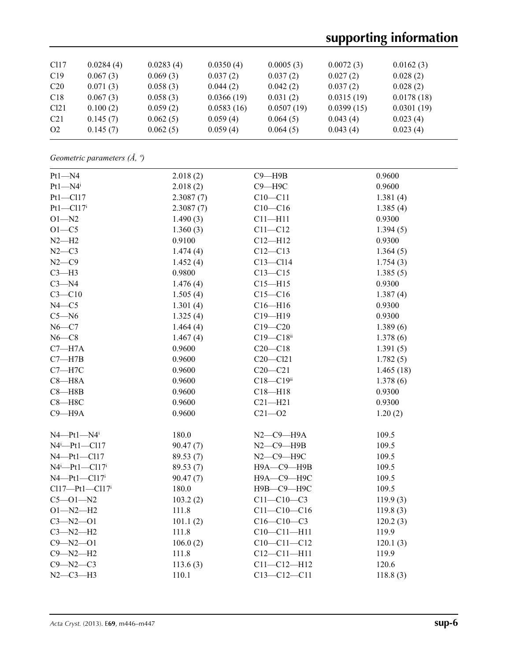# **supporting information**

| C <sub>117</sub> | 0.0284(4) | 0.0283(4) | 0.0350(4)  | 0.0005(3)  | 0.0072(3)  | 0.0162(3)  |
|------------------|-----------|-----------|------------|------------|------------|------------|
| C19              | 0.067(3)  | 0.069(3)  | 0.037(2)   | 0.037(2)   | 0.027(2)   | 0.028(2)   |
| C20              | 0.071(3)  | 0.058(3)  | 0.044(2)   | 0.042(2)   | 0.037(2)   | 0.028(2)   |
| C18              | 0.067(3)  | 0.058(3)  | 0.0366(19) | 0.031(2)   | 0.0315(19) | 0.0178(18) |
| C <sub>121</sub> | 0.100(2)  | 0.059(2)  | 0.0583(16) | 0.0507(19) | 0.0399(15) | 0.0301(19) |
| C <sub>21</sub>  | 0.145(7)  | 0.062(5)  | 0.059(4)   | 0.064(5)   | 0.043(4)   | 0.023(4)   |
| O <sub>2</sub>   | 0.145(7)  | 0.062(5)  | 0.059(4)   | 0.064(5)   | 0.043(4)   | 0.023(4)   |

*Geometric parameters (Å, º)*

| $Pt1 - N4$                       | 2.018(2)  | $C9 - H9B$          | 0.9600    |
|----------------------------------|-----------|---------------------|-----------|
| $Pt1 - N4$                       | 2.018(2)  | $C9 - H9C$          | 0.9600    |
| Pt1-Cl17                         | 2.3087(7) | $C10 - C11$         | 1.381(4)  |
| $Pt1 - Cl17$ <sup>i</sup>        | 2.3087(7) | $C10-C16$           | 1.385(4)  |
| $O1 - N2$                        | 1.490(3)  | $C11 - H11$         | 0.9300    |
| $O1-C5$                          | 1.360(3)  | $C11 - C12$         | 1.394(5)  |
| $N2-H2$                          | 0.9100    | $C12 - H12$         | 0.9300    |
| $N2-C3$                          | 1.474(4)  | $C12 - C13$         | 1.364(5)  |
| $N2-C9$                          | 1.452(4)  | $C13 - C114$        | 1.754(3)  |
| $C3-H3$                          | 0.9800    | $C13 - C15$         | 1.385(5)  |
| $C3-M4$                          | 1.476(4)  | $C15 - H15$         | 0.9300    |
| $C3 - C10$                       | 1.505(4)  | $C15 - C16$         | 1.387(4)  |
| $N4 - C5$                        | 1.301(4)  | $C16 - H16$         | 0.9300    |
| $C5 - N6$                        | 1.325(4)  | $C19 - H19$         | 0.9300    |
| $N6-C7$                          | 1.464(4)  | $C19 - C20$         | 1.389(6)  |
| $N6-C8$                          | 1.467(4)  | $C19 - C18$ ii      | 1.378(6)  |
| $C7 - H7A$                       | 0.9600    | $C20 - C18$         | 1.391(5)  |
| $C7 - H7B$                       | 0.9600    | $C20 - C121$        | 1.782(5)  |
| $C7 - H7C$                       | 0.9600    | $C20 - C21$         | 1.465(18) |
| $C8 - H8A$                       | 0.9600    | $C18 - C19$ ii      | 1.378(6)  |
| $C8 - H8B$                       | 0.9600    | $C18 - H18$         | 0.9300    |
| $C8 - H8C$                       | 0.9600    | $C21 - H21$         | 0.9300    |
| $C9 - H9A$                       | 0.9600    | $C21 - O2$          | 1.20(2)   |
|                                  |           |                     |           |
| $N4$ -Pt1- $N4$ <sup>i</sup>     | 180.0     | $N2$ – $C9$ – $H9A$ | 109.5     |
| $N4^i$ -Pt1-Cl17                 | 90.47(7)  | $N2$ – $C9$ – $H9B$ | 109.5     |
| $N4$ -Pt1-Cl17                   | 89.53 (7) | $N2$ –C9–H9C        | 109.5     |
| $N4^i$ -Pt1-Cl17 <sup>i</sup>    | 89.53 (7) | Н9А-С9-Н9В          | 109.5     |
| $N4$ -Pt1-Cl17 <sup>i</sup>      | 90.47(7)  | Н9А-С9-Н9С          | 109.5     |
| $Cl17 - Pt1 - Cl17$ <sup>i</sup> | 180.0     | Н9В-С9-Н9С          | 109.5     |
| $C5 - O1 - N2$                   | 103.2(2)  | $C11 - C10 - C3$    | 119.9(3)  |
| $O1 - N2 - H2$                   | 111.8     | $C11 - C10 - C16$   | 119.8(3)  |
| $C3 - N2 - O1$                   | 101.1(2)  | $C16 - C10 - C3$    | 120.2(3)  |
| $C3 - N2 - H2$                   | 111.8     | $C10 - C11 - H11$   | 119.9     |
| $C9 - N2 - O1$                   | 106.0(2)  | $C10-C11-C12$       | 120.1(3)  |
| $C9 - N2 - H2$                   | 111.8     | $C12 - C11 - H11$   | 119.9     |
| $C9 - N2 - C3$                   | 113.6(3)  | $C11 - C12 - H12$   | 120.6     |
| $N2-C3-H3$                       | 110.1     | $C13 - C12 - C11$   | 118.8(3)  |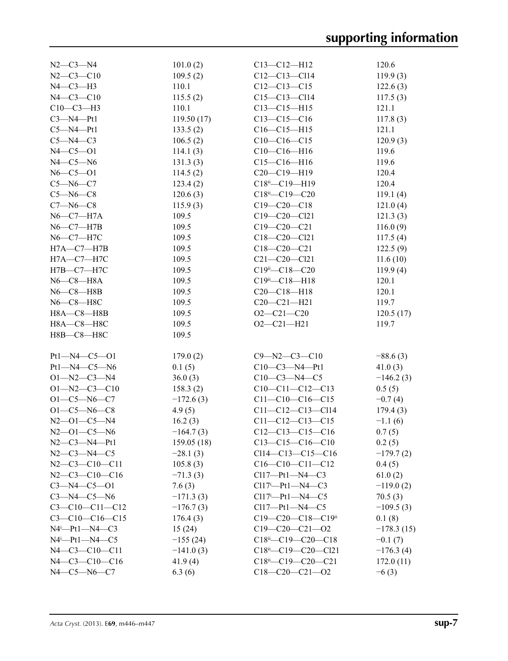| $N2 - C3 - N4$                   | 101.0(2)    | $C13 - C12 - H12$               | 120.6        |
|----------------------------------|-------------|---------------------------------|--------------|
| $N2 - C3 - C10$                  | 109.5(2)    | $C12-C13-C114$                  | 119.9(3)     |
| $N4-C3-H3$                       | 110.1       | $C12-C13-C15$                   | 122.6(3)     |
| $N4 - C3 - C10$                  | 115.5(2)    | $C15 - C13 - C114$              | 117.5(3)     |
| $C10-C3-H3$                      | 110.1       | $C13 - C15 - H15$               | 121.1        |
| $C3-M4-Pt1$                      | 119.50(17)  | $C13 - C15 - C16$               | 117.8(3)     |
| $C5-M4-Pt1$                      | 133.5(2)    | $C16-C15-H15$                   | 121.1        |
| $C5 - N4 - C3$                   | 106.5(2)    | $C10-C16-C15$                   | 120.9(3)     |
| $N4 - C5 - O1$                   | 114.1(3)    | $C10-C16-H16$                   | 119.6        |
| $N4$ — $C5$ — $N6$               | 131.3(3)    | $C15-C16-H16$                   | 119.6        |
| $N6 - C5 - O1$                   | 114.5(2)    | $C20-C19-H19$                   | 120.4        |
| $C5 - N6 - C7$                   | 123.4(2)    | $C18^{ii} - C19 - H19$          | 120.4        |
| $C5 - N6 - C8$                   | 120.6(3)    | $C18^{ii} - C19 - C20$          | 119.1(4)     |
| $C7 - N6 - C8$                   | 115.9(3)    | $C19 - C20 - C18$               | 121.0(4)     |
| $N6$ — $C7$ — $H7A$              | 109.5       | C19-C20-Cl21                    | 121.3(3)     |
| $N6$ – $C7$ – $H7B$              | 109.5       | $C19 - C20 - C21$               | 116.0(9)     |
| $N6$ — $C7$ — $H7C$              | 109.5       | C18-C20-Cl21                    | 117.5(4)     |
| $H7A - C7 - H7B$                 | 109.5       | $C18 - C20 - C21$               | 122.5(9)     |
| $H7A - C7 - H7C$                 | 109.5       | $C21 - C20 - C121$              | 11.6(10)     |
| $H7B-C7-H7C$                     | 109.5       | $C19^{ii} - C18 - C20$          | 119.9(4)     |
| $N6$ — $C8$ — $H8A$              | 109.5       | $C19^{\text{ii}} - C18 - H18$   | 120.1        |
| $N6 - C8 - H8B$                  | 109.5       | $C20-C18-H18$                   | 120.1        |
| N6-C8-H8C                        | 109.5       | $C20-C21-H21$                   | 119.7        |
| $H8A - C8 - H8B$                 | 109.5       | $O2 - C21 - C20$                | 120.5(17)    |
| Н8А-С8-Н8С                       | 109.5       | $O2 - C21 - H21$                | 119.7        |
| Н8В-С8-Н8С                       | 109.5       |                                 |              |
|                                  |             |                                 |              |
| $Pt1 - N4 - C5 - O1$             | 179.0(2)    | $C9 - N2 - C3 - C10$            | $-88.6(3)$   |
| $Pt1 - N4 - C5 - N6$             | 0.1(5)      | $C10-C3-M4-Pt1$                 | 41.0(3)      |
| $O1 - N2 - C3 - N4$              | 36.0(3)     | $C10-C3-M4-C5$                  | $-146.2(3)$  |
| $O1 - N2 - C3 - C10$             | 158.3(2)    | $C10-C11-C12-C13$               | 0.5(5)       |
| $O1 - C5 - N6 - C7$              | $-172.6(3)$ | $C11-C10-C16-C15$               | $-0.7(4)$    |
| $O1 - C5 - N6 - C8$              | 4.9(5)      | $C11-C12-C13-C114$              | 179.4(3)     |
| $N2 - 01 - C5 - N4$              | 16.2(3)     | $C11 - C12 - C13 - C15$         | $-1.1(6)$    |
| $N2 - 01 - C5 - N6$              | $-164.7(3)$ | $C12-C13-C15-C16$               | 0.7(5)       |
| $N2-C3-M4-Pt1$                   | 159.05(18)  | $C13-C15-C16-C10$               | 0.2(5)       |
| $N2-C3-M4-C5$                    | $-28.1(3)$  | $Cl14-C13-C15-C16$              | $-179.7(2)$  |
| $N2-C3-C10-C11$                  | 105.8(3)    | $C16-C10-C11-C12$               | 0.4(5)       |
| $N2-C3-C10-C16$                  | $-71.3(3)$  | $Cl17$ — $Pt1$ — $N4$ — $C3$    | 61.0(2)      |
| $C3 - N4 - C5 - O1$              | 7.6(3)      | $Cl17'$ -Pt1-N4-C3              | $-119.0(2)$  |
| $C3 - N4 - C5 - N6$              | $-171.3(3)$ | $Cl17^{i}$ -Pt1-N4-C5           | 70.5(3)      |
| $C3 - C10 - C11 - C12$           | $-176.7(3)$ | $Cl17$ — $Pt1$ — $N4$ — $C5$    | $-109.5(3)$  |
| $C3-C10-C16-C15$                 | 176.4(3)    | $C19-C20-C18-C19$ <sup>ii</sup> | 0.1(8)       |
| $N4$ <sup>i</sup> -Pt1- $N4$ -C3 | 15(24)      | $C19-C20-C21-02$                | $-178.3(15)$ |
| $N4$ <sup>i</sup> -Pt1- $N4$ -C5 | $-155(24)$  | $C18^{ii} - C19 - C20 - C18$    | $-0.1(7)$    |
| $N4 - C3 - C10 - C11$            | $-141.0(3)$ | $C18^{ii} - C19 - C20 - C121$   | $-176.3(4)$  |
| $N4-C3-C10-C16$                  | 41.9(4)     | $C18^{ii} - C19 - C20 - C21$    | 172.0(11)    |
| $N4 - C5 - N6 - C7$              | 6.3(6)      | $C18-C20-C21-02$                | $-6(3)$      |